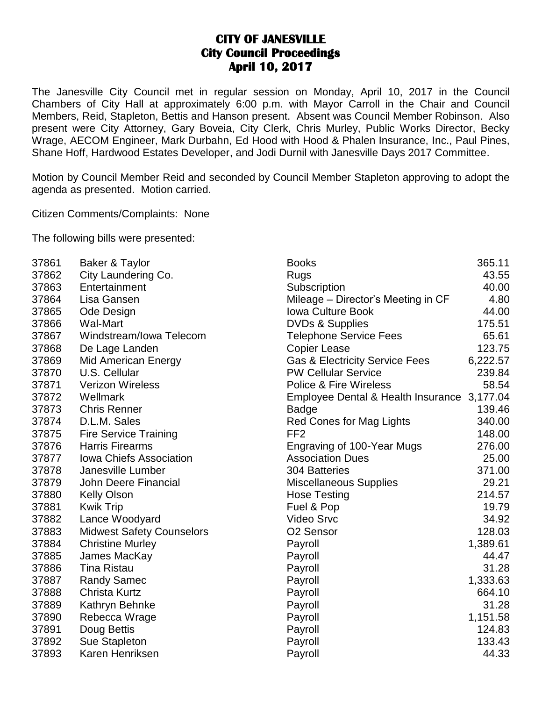## **CITY OF JANESVILLE City Council Proceedings April 10, 2017**

The Janesville City Council met in regular session on Monday, April 10, 2017 in the Council Chambers of City Hall at approximately 6:00 p.m. with Mayor Carroll in the Chair and Council Members, Reid, Stapleton, Bettis and Hanson present. Absent was Council Member Robinson. Also present were City Attorney, Gary Boveia, City Clerk, Chris Murley, Public Works Director, Becky Wrage, AECOM Engineer, Mark Durbahn, Ed Hood with Hood & Phalen Insurance, Inc., Paul Pines, Shane Hoff, Hardwood Estates Developer, and Jodi Durnil with Janesville Days 2017 Committee.

Motion by Council Member Reid and seconded by Council Member Stapleton approving to adopt the agenda as presented. Motion carried.

Citizen Comments/Complaints: None

The following bills were presented:

| 37861 | Baker & Taylor                   | <b>Books</b>                                | 365.11   |
|-------|----------------------------------|---------------------------------------------|----------|
| 37862 | City Laundering Co.              | Rugs                                        | 43.55    |
| 37863 | Entertainment                    | Subscription                                | 40.00    |
| 37864 | Lisa Gansen                      | Mileage - Director's Meeting in CF          | 4.80     |
| 37865 | Ode Design                       | <b>Iowa Culture Book</b>                    | 44.00    |
| 37866 | <b>Wal-Mart</b>                  | <b>DVDs &amp; Supplies</b>                  | 175.51   |
| 37867 | Windstream/Iowa Telecom          | <b>Telephone Service Fees</b>               | 65.61    |
| 37868 | De Lage Landen                   | <b>Copier Lease</b>                         | 123.75   |
| 37869 | Mid American Energy              | <b>Gas &amp; Electricity Service Fees</b>   | 6,222.57 |
| 37870 | U.S. Cellular                    | <b>PW Cellular Service</b>                  | 239.84   |
| 37871 | <b>Verizon Wireless</b>          | <b>Police &amp; Fire Wireless</b>           | 58.54    |
| 37872 | Wellmark                         | Employee Dental & Health Insurance 3,177.04 |          |
| 37873 | <b>Chris Renner</b>              | <b>Badge</b>                                | 139.46   |
| 37874 | D.L.M. Sales                     | Red Cones for Mag Lights                    | 340.00   |
| 37875 | <b>Fire Service Training</b>     | FF <sub>2</sub>                             | 148.00   |
| 37876 | <b>Harris Firearms</b>           | Engraving of 100-Year Mugs                  | 276.00   |
| 37877 | Iowa Chiefs Association          | <b>Association Dues</b>                     | 25.00    |
| 37878 | Janesville Lumber                | 304 Batteries                               | 371.00   |
| 37879 | John Deere Financial             | <b>Miscellaneous Supplies</b>               | 29.21    |
| 37880 | <b>Kelly Olson</b>               | <b>Hose Testing</b>                         | 214.57   |
| 37881 | <b>Kwik Trip</b>                 | Fuel & Pop                                  | 19.79    |
| 37882 | Lance Woodyard                   | <b>Video Srvc</b>                           | 34.92    |
| 37883 | <b>Midwest Safety Counselors</b> | O <sub>2</sub> Sensor                       | 128.03   |
| 37884 | <b>Christine Murley</b>          | Payroll                                     | 1,389.61 |
| 37885 | James MacKay                     | Payroll                                     | 44.47    |
| 37886 | <b>Tina Ristau</b>               | Payroll                                     | 31.28    |
| 37887 | <b>Randy Samec</b>               | Payroll                                     | 1,333.63 |
| 37888 | <b>Christa Kurtz</b>             | Payroll                                     | 664.10   |
| 37889 | Kathryn Behnke                   | Payroll                                     | 31.28    |
| 37890 | Rebecca Wrage                    | Payroll                                     | 1,151.58 |
| 37891 | Doug Bettis                      | Payroll                                     | 124.83   |
| 37892 | Sue Stapleton                    | Payroll                                     | 133.43   |
| 37893 | Karen Henriksen                  | Payroll                                     | 44.33    |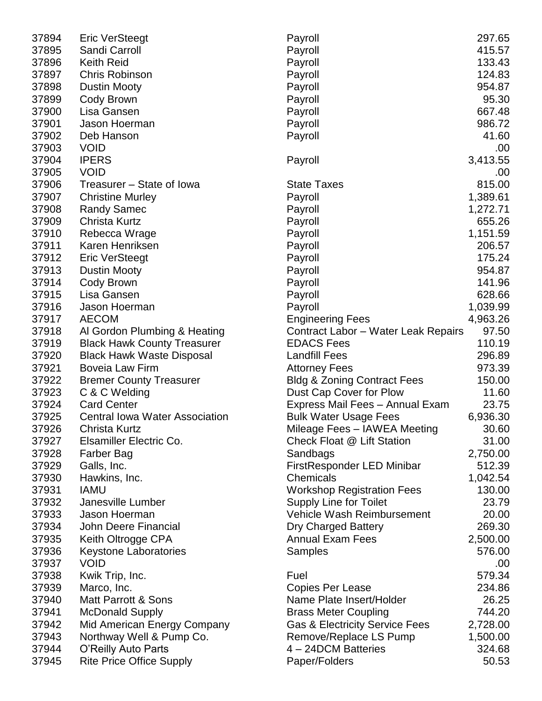| 37894 | <b>Eric VerSteegt</b>                 | Payroll                                   | 297.65   |
|-------|---------------------------------------|-------------------------------------------|----------|
| 37895 | Sandi Carroll                         | Payroll                                   | 415.57   |
| 37896 | <b>Keith Reid</b>                     | Payroll                                   | 133.43   |
| 37897 | <b>Chris Robinson</b>                 | Payroll                                   | 124.83   |
| 37898 | <b>Dustin Mooty</b>                   | Payroll                                   | 954.87   |
| 37899 | Cody Brown                            | Payroll                                   | 95.30    |
| 37900 | Lisa Gansen                           | Payroll                                   | 667.48   |
| 37901 | Jason Hoerman                         | Payroll                                   | 986.72   |
| 37902 | Deb Hanson                            | Payroll                                   | 41.60    |
| 37903 | <b>VOID</b>                           |                                           | .00      |
| 37904 | <b>IPERS</b>                          | Payroll                                   | 3,413.55 |
| 37905 | <b>VOID</b>                           |                                           | .00      |
| 37906 | Treasurer – State of Iowa             | <b>State Taxes</b>                        | 815.00   |
| 37907 | <b>Christine Murley</b>               | Payroll                                   | 1,389.61 |
| 37908 | <b>Randy Samec</b>                    | Payroll                                   | 1,272.71 |
| 37909 | <b>Christa Kurtz</b>                  | Payroll                                   | 655.26   |
| 37910 | Rebecca Wrage                         | Payroll                                   | 1,151.59 |
| 37911 | Karen Henriksen                       | Payroll                                   | 206.57   |
| 37912 | Eric VerSteegt                        | Payroll                                   | 175.24   |
| 37913 | <b>Dustin Mooty</b>                   | Payroll                                   | 954.87   |
| 37914 | Cody Brown                            | Payroll                                   | 141.96   |
| 37915 | Lisa Gansen                           | Payroll                                   | 628.66   |
| 37916 | Jason Hoerman                         | Payroll                                   | 1,039.99 |
| 37917 | <b>AECOM</b>                          | <b>Engineering Fees</b>                   | 4,963.26 |
| 37918 | Al Gordon Plumbing & Heating          | Contract Labor - Water Leak Repairs       | 97.50    |
| 37919 | <b>Black Hawk County Treasurer</b>    | <b>EDACS Fees</b>                         | 110.19   |
| 37920 | <b>Black Hawk Waste Disposal</b>      | <b>Landfill Fees</b>                      | 296.89   |
| 37921 | Boveia Law Firm                       | <b>Attorney Fees</b>                      | 973.39   |
| 37922 | <b>Bremer County Treasurer</b>        | <b>Bldg &amp; Zoning Contract Fees</b>    | 150.00   |
| 37923 | C & C Welding                         | Dust Cap Cover for Plow                   | 11.60    |
| 37924 | <b>Card Center</b>                    | Express Mail Fees - Annual Exam           | 23.75    |
| 37925 | <b>Central Iowa Water Association</b> | <b>Bulk Water Usage Fees</b>              | 6,936.30 |
| 37926 | Christa Kurtz                         | Mileage Fees - IAWEA Meeting              | 30.60    |
| 37927 | Elsamiller Electric Co.               | Check Float @ Lift Station                | 31.00    |
| 37928 | Farber Bag                            | Sandbags                                  | 2,750.00 |
| 37929 | Galls, Inc.                           | FirstResponder LED Minibar                | 512.39   |
| 37930 | Hawkins, Inc.                         | Chemicals                                 | 1,042.54 |
| 37931 | <b>IAMU</b>                           | <b>Workshop Registration Fees</b>         | 130.00   |
| 37932 | Janesville Lumber                     | <b>Supply Line for Toilet</b>             | 23.79    |
| 37933 | Jason Hoerman                         | Vehicle Wash Reimbursement                | 20.00    |
| 37934 | John Deere Financial                  | <b>Dry Charged Battery</b>                | 269.30   |
| 37935 | Keith Oltrogge CPA                    | <b>Annual Exam Fees</b>                   | 2,500.00 |
| 37936 | Keystone Laboratories                 | <b>Samples</b>                            | 576.00   |
| 37937 | <b>VOID</b>                           |                                           | .00      |
| 37938 | Kwik Trip, Inc.                       | Fuel                                      | 579.34   |
| 37939 | Marco, Inc.                           | Copies Per Lease                          | 234.86   |
| 37940 | <b>Matt Parrott &amp; Sons</b>        | Name Plate Insert/Holder                  | 26.25    |
| 37941 | <b>McDonald Supply</b>                | <b>Brass Meter Coupling</b>               | 744.20   |
| 37942 | Mid American Energy Company           | <b>Gas &amp; Electricity Service Fees</b> | 2,728.00 |
| 37943 | Northway Well & Pump Co.              | Remove/Replace LS Pump                    | 1,500.00 |
| 37944 | O'Reilly Auto Parts                   | 4 - 24DCM Batteries                       | 324.68   |
| 37945 | <b>Rite Price Office Supply</b>       | Paper/Folders                             | 50.53    |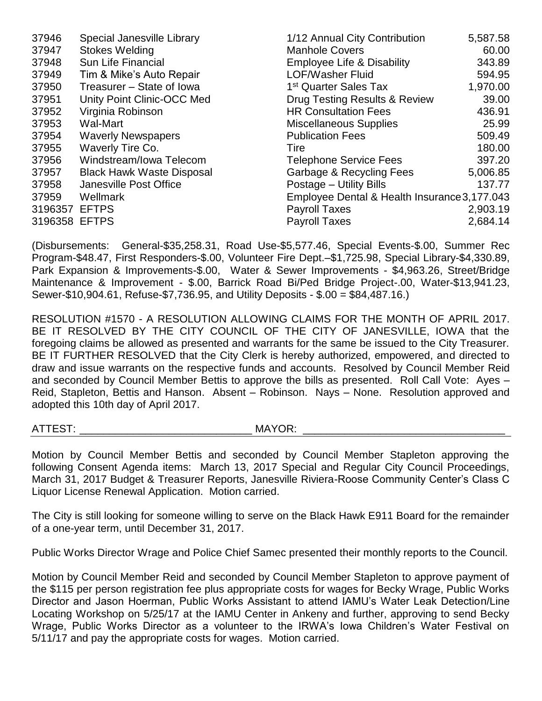| 37946         | Special Janesville Library       | 1/12 Annual City Contribution                | 5,587.58 |
|---------------|----------------------------------|----------------------------------------------|----------|
| 37947         | <b>Stokes Welding</b>            | <b>Manhole Covers</b>                        | 60.00    |
| 37948         | Sun Life Financial               | <b>Employee Life &amp; Disability</b>        | 343.89   |
| 37949         | Tim & Mike's Auto Repair         | <b>LOF/Washer Fluid</b>                      | 594.95   |
| 37950         | Treasurer - State of Iowa        | 1 <sup>st</sup> Quarter Sales Tax            | 1,970.00 |
| 37951         | Unity Point Clinic-OCC Med       | Drug Testing Results & Review                | 39.00    |
| 37952         | Virginia Robinson                | <b>HR Consultation Fees</b>                  | 436.91   |
| 37953         | Wal-Mart                         | <b>Miscellaneous Supplies</b>                | 25.99    |
| 37954         | <b>Waverly Newspapers</b>        | <b>Publication Fees</b>                      | 509.49   |
| 37955         | Waverly Tire Co.                 | Tire                                         | 180.00   |
| 37956         | Windstream/Iowa Telecom          | <b>Telephone Service Fees</b>                | 397.20   |
| 37957         | <b>Black Hawk Waste Disposal</b> | Garbage & Recycling Fees                     | 5,006.85 |
| 37958         | Janesville Post Office           | Postage - Utility Bills                      | 137.77   |
| 37959         | Wellmark                         | Employee Dental & Health Insurance 3,177.043 |          |
| 3196357       | <b>EFTPS</b>                     | <b>Payroll Taxes</b>                         | 2,903.19 |
| 3196358 EFTPS |                                  | <b>Payroll Taxes</b>                         | 2,684.14 |

(Disbursements: General-\$35,258.31, Road Use-\$5,577.46, Special Events-\$.00, Summer Rec Program-\$48.47, First Responders-\$.00, Volunteer Fire Dept.–\$1,725.98, Special Library-\$4,330.89, Park Expansion & Improvements-\$.00, Water & Sewer Improvements - \$4,963.26, Street/Bridge Maintenance & Improvement - \$.00, Barrick Road Bi/Ped Bridge Project-.00, Water-\$13,941.23, Sewer-\$10,904.61, Refuse-\$7,736.95, and Utility Deposits - \$.00 = \$84,487.16.)

RESOLUTION #1570 - A RESOLUTION ALLOWING CLAIMS FOR THE MONTH OF APRIL 2017. BE IT RESOLVED BY THE CITY COUNCIL OF THE CITY OF JANESVILLE, IOWA that the foregoing claims be allowed as presented and warrants for the same be issued to the City Treasurer. BE IT FURTHER RESOLVED that the City Clerk is hereby authorized, empowered, and directed to draw and issue warrants on the respective funds and accounts. Resolved by Council Member Reid and seconded by Council Member Bettis to approve the bills as presented. Roll Call Vote: Ayes – Reid, Stapleton, Bettis and Hanson. Absent – Robinson. Nays – None. Resolution approved and adopted this 10th day of April 2017.

ATTEST: \_\_\_\_\_\_\_\_\_\_\_\_\_\_\_\_\_\_\_\_\_\_\_\_\_\_\_\_\_ MAYOR: \_\_\_\_\_\_\_\_\_\_\_\_\_\_\_\_\_\_\_\_\_\_\_\_\_\_\_\_\_\_\_\_\_\_

Motion by Council Member Bettis and seconded by Council Member Stapleton approving the following Consent Agenda items: March 13, 2017 Special and Regular City Council Proceedings, March 31, 2017 Budget & Treasurer Reports, Janesville Riviera-Roose Community Center's Class C Liquor License Renewal Application. Motion carried.

The City is still looking for someone willing to serve on the Black Hawk E911 Board for the remainder of a one-year term, until December 31, 2017.

Public Works Director Wrage and Police Chief Samec presented their monthly reports to the Council.

Motion by Council Member Reid and seconded by Council Member Stapleton to approve payment of the \$115 per person registration fee plus appropriate costs for wages for Becky Wrage, Public Works Director and Jason Hoerman, Public Works Assistant to attend IAMU's Water Leak Detection/Line Locating Workshop on 5/25/17 at the IAMU Center in Ankeny and further, approving to send Becky Wrage, Public Works Director as a volunteer to the IRWA's Iowa Children's Water Festival on 5/11/17 and pay the appropriate costs for wages. Motion carried.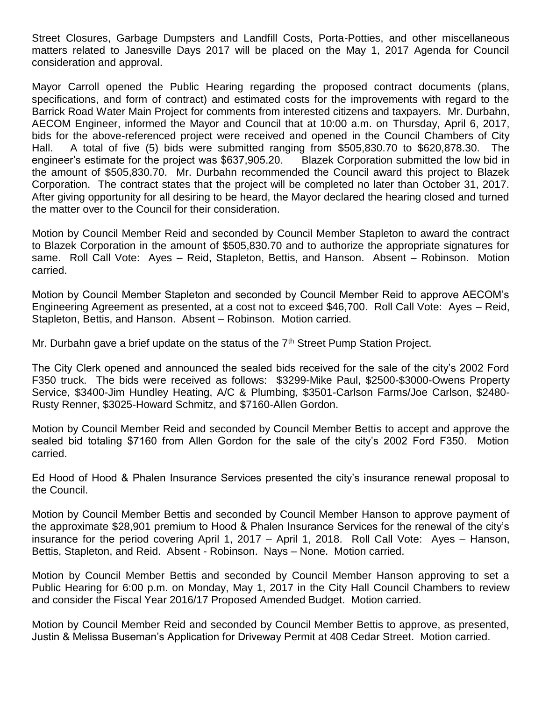Street Closures, Garbage Dumpsters and Landfill Costs, Porta-Potties, and other miscellaneous matters related to Janesville Days 2017 will be placed on the May 1, 2017 Agenda for Council consideration and approval.

Mayor Carroll opened the Public Hearing regarding the proposed contract documents (plans, specifications, and form of contract) and estimated costs for the improvements with regard to the Barrick Road Water Main Project for comments from interested citizens and taxpayers. Mr. Durbahn, AECOM Engineer, informed the Mayor and Council that at 10:00 a.m. on Thursday, April 6, 2017, bids for the above-referenced project were received and opened in the Council Chambers of City Hall. A total of five (5) bids were submitted ranging from \$505,830.70 to \$620,878.30. The engineer's estimate for the project was \$637,905.20. Blazek Corporation submitted the low bid in the amount of \$505,830.70. Mr. Durbahn recommended the Council award this project to Blazek Corporation. The contract states that the project will be completed no later than October 31, 2017. After giving opportunity for all desiring to be heard, the Mayor declared the hearing closed and turned the matter over to the Council for their consideration.

Motion by Council Member Reid and seconded by Council Member Stapleton to award the contract to Blazek Corporation in the amount of \$505,830.70 and to authorize the appropriate signatures for same. Roll Call Vote: Ayes – Reid, Stapleton, Bettis, and Hanson. Absent – Robinson. Motion carried.

Motion by Council Member Stapleton and seconded by Council Member Reid to approve AECOM's Engineering Agreement as presented, at a cost not to exceed \$46,700. Roll Call Vote: Ayes – Reid, Stapleton, Bettis, and Hanson. Absent – Robinson. Motion carried.

Mr. Durbahn gave a brief update on the status of the 7<sup>th</sup> Street Pump Station Project.

The City Clerk opened and announced the sealed bids received for the sale of the city's 2002 Ford F350 truck. The bids were received as follows: \$3299-Mike Paul, \$2500-\$3000-Owens Property Service, \$3400-Jim Hundley Heating, A/C & Plumbing, \$3501-Carlson Farms/Joe Carlson, \$2480- Rusty Renner, \$3025-Howard Schmitz, and \$7160-Allen Gordon.

Motion by Council Member Reid and seconded by Council Member Bettis to accept and approve the sealed bid totaling \$7160 from Allen Gordon for the sale of the city's 2002 Ford F350. Motion carried.

Ed Hood of Hood & Phalen Insurance Services presented the city's insurance renewal proposal to the Council.

Motion by Council Member Bettis and seconded by Council Member Hanson to approve payment of the approximate \$28,901 premium to Hood & Phalen Insurance Services for the renewal of the city's insurance for the period covering April 1, 2017 – April 1, 2018. Roll Call Vote: Ayes – Hanson, Bettis, Stapleton, and Reid. Absent - Robinson. Nays – None. Motion carried.

Motion by Council Member Bettis and seconded by Council Member Hanson approving to set a Public Hearing for 6:00 p.m. on Monday, May 1, 2017 in the City Hall Council Chambers to review and consider the Fiscal Year 2016/17 Proposed Amended Budget. Motion carried.

Motion by Council Member Reid and seconded by Council Member Bettis to approve, as presented, Justin & Melissa Buseman's Application for Driveway Permit at 408 Cedar Street. Motion carried.